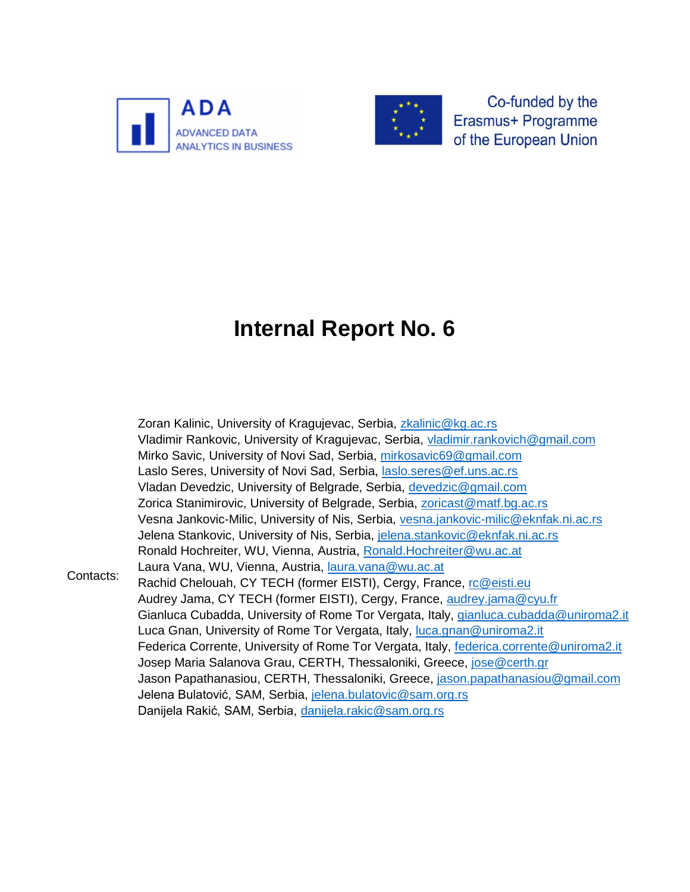



Co-funded by the Erasmus+ Programme of the European Union

# **Internal Report No. 6**

Contacts: Zoran Kalinic, University of Kragujevac, Serbia, [zkalinic@kg.ac.rs](mailto:zkalinic@kg.ac.rs) Vladimir Rankovic, University of Kragujevac, Serbia, [vladimir.rankovich@gmail.com](mailto:vladimir.rankovich@gmail.com) Mirko Savic, University of Novi Sad, Serbia, [mirkosavic69@gmail.com](mailto:mirkosavic69@gmail.com) Laslo Seres, University of Novi Sad, Serbia, [laslo.seres@ef.uns.ac.rs](mailto:laslo.seres@ef.uns.ac.rs) Vladan Devedzic, University of Belgrade, Serbia, [devedzic@gmail.com](mailto:devedzic@gmail.com) Zorica Stanimirovic, University of Belgrade, Serbia, [zoricast@matf.bg.ac.rs](mailto:zoricast@matf.bg.ac.rs) Vesna Jankovic-Milic, University of Nis, Serbia, [vesna.jankovic-milic@eknfak.ni.ac.rs](mailto:vesna.jankovic-milic@eknfak.ni.ac.rs) Jelena Stankovic, University of Nis, Serbia, [jelena.stankovic@eknfak.ni.ac.rs](mailto:jelena.stankovic@eknfak.ni.ac.rs) Ronald Hochreiter, WU, Vienna, Austria, [Ronald.Hochreiter@wu.ac.at](mailto:Ronald.Hochreiter@wu.ac.at) Laura Vana, WU, Vienna, Austria, [laura.vana@wu.ac.at](mailto:laura.vana@wu.ac.at) Rachid Chelouah, CY TECH (former EISTI), Cergy, France, [rc@eisti.eu](mailto:rc@eisti.eu) Audrey Jama, CY TECH (former EISTI), Cergy, France, [audrey.jama@cyu.fr](mailto:audrey.jama@cyu.fr) Gianluca Cubadda, University of Rome Tor Vergata, Italy, [gianluca.cubadda@uniroma2.it](mailto:gianluca.cubadda@uniroma2.it) Luca Gnan, University of Rome Tor Vergata, Italy, [luca.gnan@uniroma2.it](mailto:luca.gnan@uniroma2.it) Federica Corrente, University of Rome Tor Vergata, Italy, [federica.corrente@uniroma2.it](mailto:federica.corrente@uniroma2.it) Josep Maria Salanova Grau, CERTH, Thessaloniki, Greece, [jose@certh.gr](mailto:jose@certh.gr) Jason Papathanasiou, CERTH, Thessaloniki, Greece, [jason.papathanasiou@gmail.com](mailto:jason.papathanasiou@gmail.com) Jelena Bulatović, SAM, Serbia, [jelena.bulatovic@sam.org.rs](mailto:jelena.bulatovic@sam.org.rs) Danijela Rakić, SAM, Serbia, [danijela.rakic@sam.org.rs](mailto:danijela.rakic@sam.org.rs)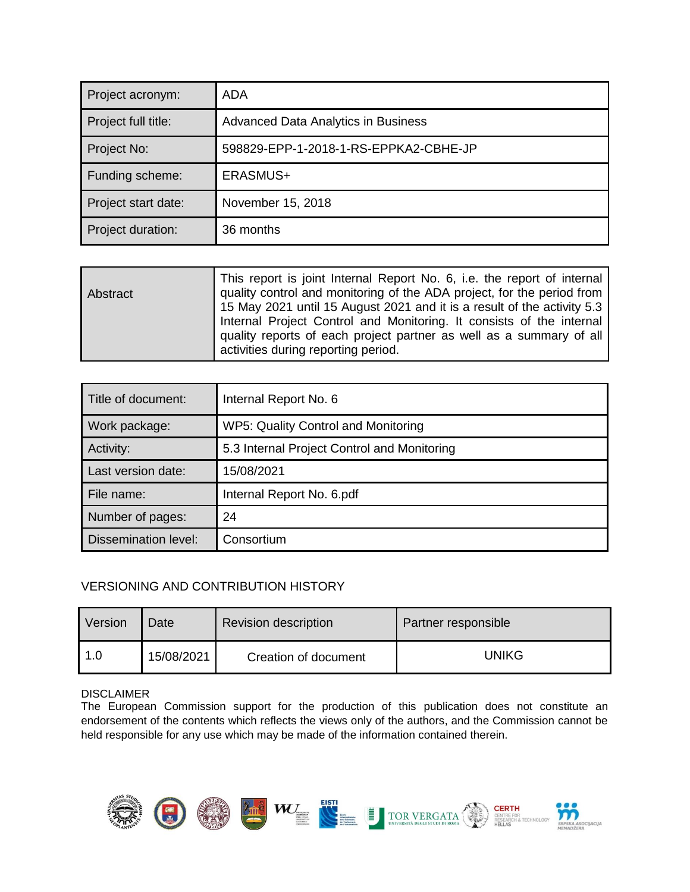| Project acronym:    | ADA                                   |  |
|---------------------|---------------------------------------|--|
| Project full title: | Advanced Data Analytics in Business   |  |
| Project No:         | 598829-EPP-1-2018-1-RS-EPPKA2-CBHE-JP |  |
| Funding scheme:     | ERASMUS+                              |  |
| Project start date: | November 15, 2018                     |  |
| Project duration:   | 36 months                             |  |

| Abstract | This report is joint Internal Report No. 6, i.e. the report of internal<br>quality control and monitoring of the ADA project, for the period from<br>15 May 2021 until 15 August 2021 and it is a result of the activity 5.3<br>Internal Project Control and Monitoring. It consists of the internal |
|----------|------------------------------------------------------------------------------------------------------------------------------------------------------------------------------------------------------------------------------------------------------------------------------------------------------|
|          | quality reports of each project partner as well as a summary of all<br>activities during reporting period.                                                                                                                                                                                           |

| Title of document:          | Internal Report No. 6                       |  |
|-----------------------------|---------------------------------------------|--|
| Work package:               | WP5: Quality Control and Monitoring         |  |
| Activity:                   | 5.3 Internal Project Control and Monitoring |  |
| Last version date:          | 15/08/2021                                  |  |
| File name:                  | Internal Report No. 6.pdf                   |  |
| Number of pages:            | 24                                          |  |
| <b>Dissemination level:</b> | Consortium                                  |  |

### VERSIONING AND CONTRIBUTION HISTORY

| Version | Date       | <b>Revision description</b> | Partner responsible |  |  |
|---------|------------|-----------------------------|---------------------|--|--|
| 1.0     | 15/08/2021 | Creation of document        | UNIKG               |  |  |

### DISCLAIMER

The European Commission support for the production of this publication does not constitute an endorsement of the contents which reflects the views only of the authors, and the Commission cannot be held responsible for any use which may be made of the information contained therein.

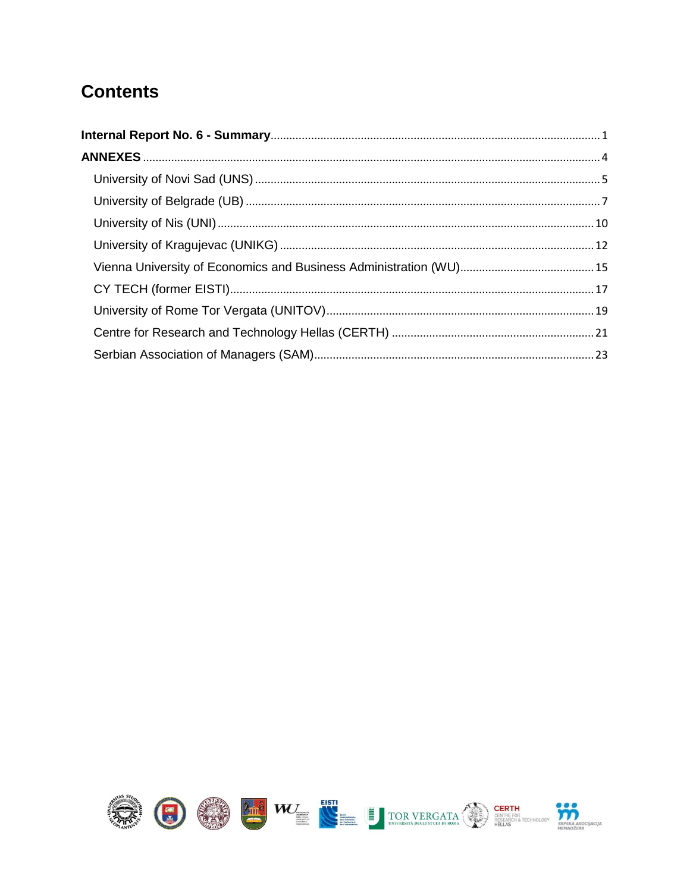### **Contents**

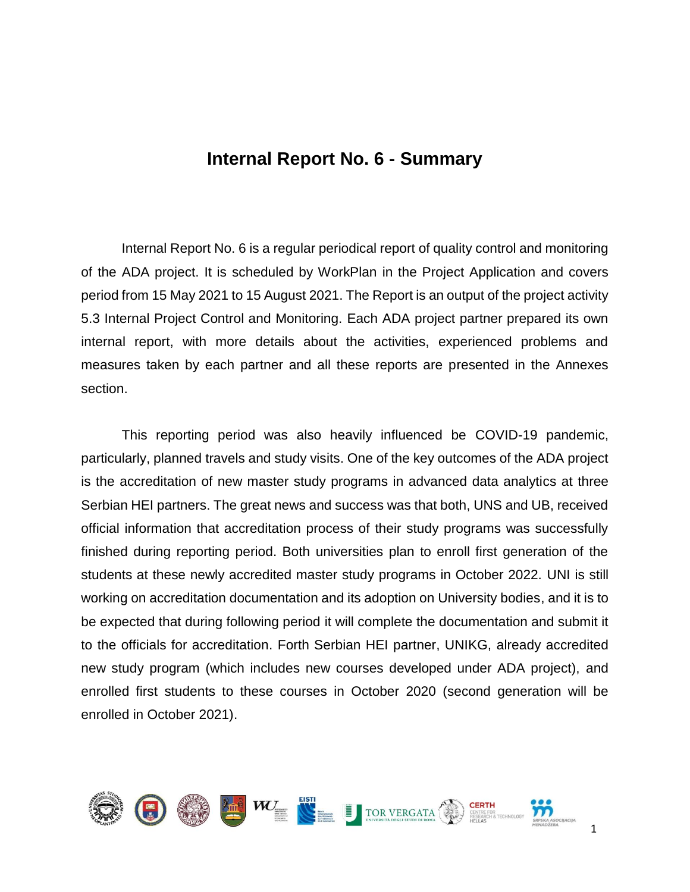### **Internal Report No. 6 - Summary**

<span id="page-3-0"></span>Internal Report No. 6 is a regular periodical report of quality control and monitoring of the ADA project. It is scheduled by WorkPlan in the Project Application and covers period from 15 May 2021 to 15 August 2021. The Report is an output of the project activity 5.3 Internal Project Control and Monitoring. Each ADA project partner prepared its own internal report, with more details about the activities, experienced problems and measures taken by each partner and all these reports are presented in the Annexes section.

This reporting period was also heavily influenced be COVID-19 pandemic, particularly, planned travels and study visits. One of the key outcomes of the ADA project is the accreditation of new master study programs in advanced data analytics at three Serbian HEI partners. The great news and success was that both, UNS and UB, received official information that accreditation process of their study programs was successfully finished during reporting period. Both universities plan to enroll first generation of the students at these newly accredited master study programs in October 2022. UNI is still working on accreditation documentation and its adoption on University bodies, and it is to be expected that during following period it will complete the documentation and submit it to the officials for accreditation. Forth Serbian HEI partner, UNIKG, already accredited new study program (which includes new courses developed under ADA project), and enrolled first students to these courses in October 2020 (second generation will be enrolled in October 2021).

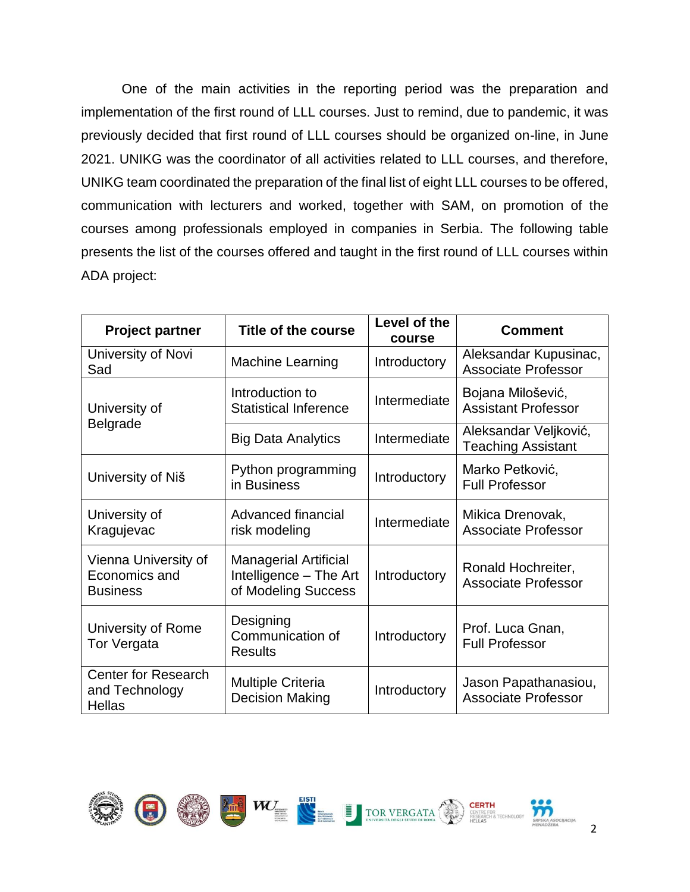One of the main activities in the reporting period was the preparation and implementation of the first round of LLL courses. Just to remind, due to pandemic, it was previously decided that first round of LLL courses should be organized on-line, in June 2021. UNIKG was the coordinator of all activities related to LLL courses, and therefore, UNIKG team coordinated the preparation of the final list of eight LLL courses to be offered, communication with lecturers and worked, together with SAM, on promotion of the courses among professionals employed in companies in Serbia. The following table presents the list of the courses offered and taught in the first round of LLL courses within ADA project:

| <b>Project partner</b>                                           | Title of the course                                                           | Level of the<br>course | <b>Comment</b>                                      |
|------------------------------------------------------------------|-------------------------------------------------------------------------------|------------------------|-----------------------------------------------------|
| University of Novi<br>Sad                                        | <b>Machine Learning</b>                                                       | Introductory           | Aleksandar Kupusinac,<br><b>Associate Professor</b> |
| Introduction to<br><b>Statistical Inference</b><br>University of |                                                                               | Intermediate           | Bojana Milošević,<br><b>Assistant Professor</b>     |
| Belgrade                                                         | <b>Big Data Analytics</b>                                                     | Intermediate           | Aleksandar Veljković,<br><b>Teaching Assistant</b>  |
| University of Niš                                                | Python programming<br>in Business                                             | Introductory           | Marko Petković,<br><b>Full Professor</b>            |
| University of<br>Kragujevac                                      | Advanced financial<br>risk modeling                                           | Intermediate           | Mikica Drenovak,<br><b>Associate Professor</b>      |
| Vienna University of<br>Economics and<br><b>Business</b>         | <b>Managerial Artificial</b><br>Intelligence - The Art<br>of Modeling Success | Introductory           | Ronald Hochreiter,<br><b>Associate Professor</b>    |
| University of Rome<br><b>Tor Vergata</b>                         | Designing<br>Communication of<br><b>Results</b>                               | Introductory           | Prof. Luca Gnan,<br><b>Full Professor</b>           |
| <b>Center for Research</b><br>and Technology<br><b>Hellas</b>    | <b>Multiple Criteria</b><br><b>Decision Making</b>                            | Introductory           | Jason Papathanasiou,<br><b>Associate Professor</b>  |

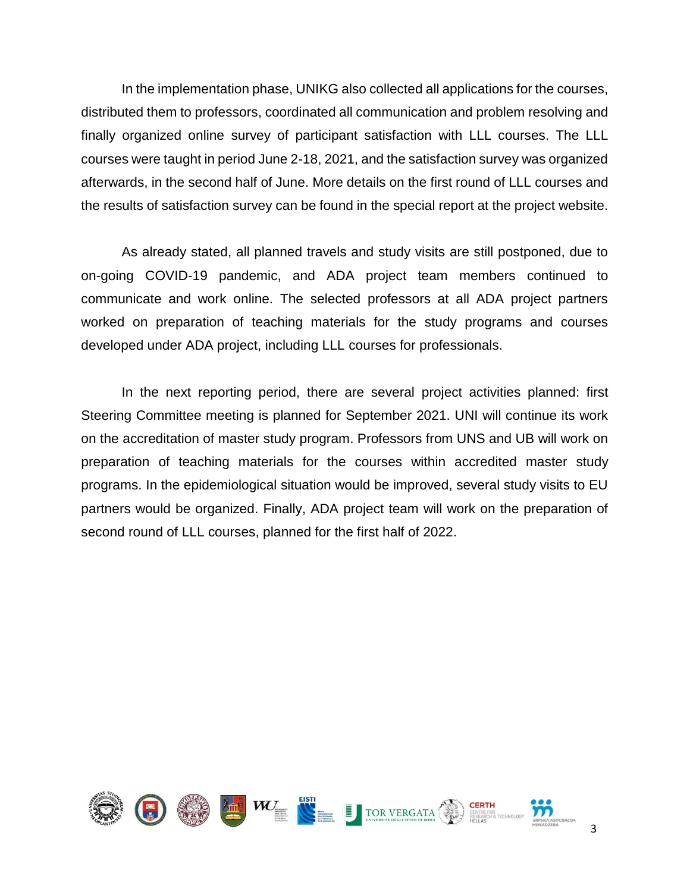In the implementation phase, UNIKG also collected all applications for the courses, distributed them to professors, coordinated all communication and problem resolving and finally organized online survey of participant satisfaction with LLL courses. The LLL courses were taught in period June 2-18, 2021, and the satisfaction survey was organized afterwards, in the second half of June. More details on the first round of LLL courses and the results of satisfaction survey can be found in the special report at the project website.

As already stated, all planned travels and study visits are still postponed, due to on-going COVID-19 pandemic, and ADA project team members continued to communicate and work online. The selected professors at all ADA project partners worked on preparation of teaching materials for the study programs and courses developed under ADA project, including LLL courses for professionals.

In the next reporting period, there are several project activities planned: first Steering Committee meeting is planned for September 2021. UNI will continue its work on the accreditation of master study program. Professors from UNS and UB will work on preparation of teaching materials for the courses within accredited master study programs. In the epidemiological situation would be improved, several study visits to EU partners would be organized. Finally, ADA project team will work on the preparation of second round of LLL courses, planned for the first half of 2022.

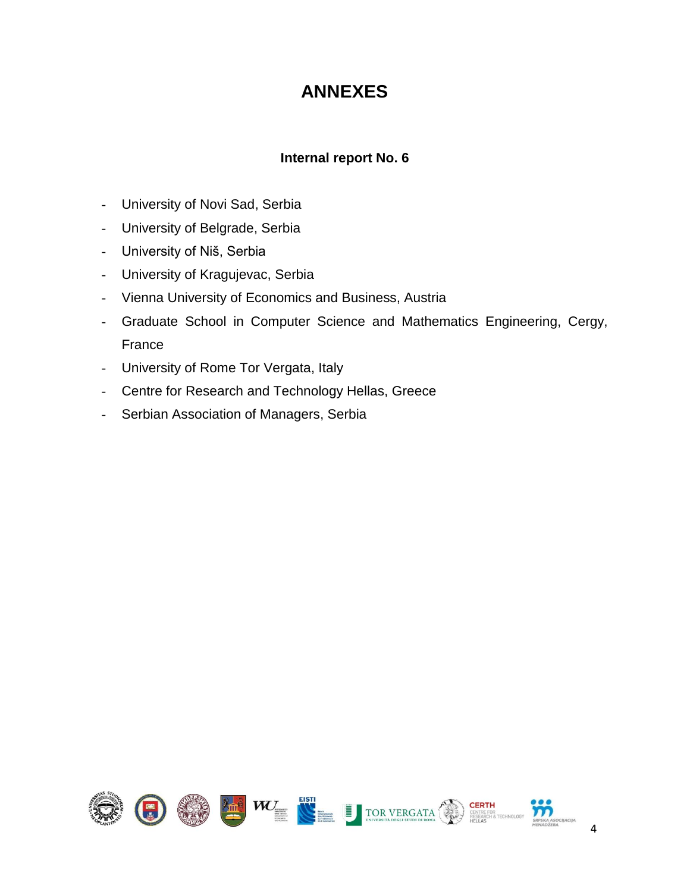### **ANNEXES**

### **Internal report No. 6**

- <span id="page-6-0"></span>- University of Novi Sad, Serbia
- University of Belgrade, Serbia
- University of Niš, Serbia
- University of Kragujevac, Serbia
- Vienna University of Economics and Business, Austria
- Graduate School in Computer Science and Mathematics Engineering, Cergy, France
- University of Rome Tor Vergata, Italy
- Centre for Research and Technology Hellas, Greece
- Serbian Association of Managers, Serbia

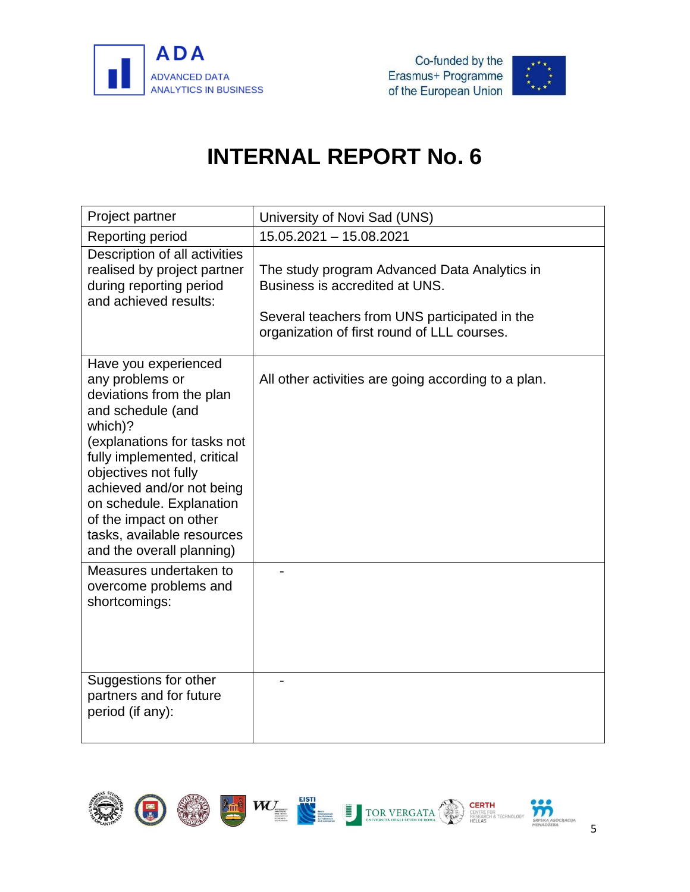



<span id="page-7-0"></span>

| Project partner                                                                                                                                                                                                                                                                                                                         | University of Novi Sad (UNS)                                                                                                                                                   |
|-----------------------------------------------------------------------------------------------------------------------------------------------------------------------------------------------------------------------------------------------------------------------------------------------------------------------------------------|--------------------------------------------------------------------------------------------------------------------------------------------------------------------------------|
| Reporting period                                                                                                                                                                                                                                                                                                                        | 15.05.2021 - 15.08.2021                                                                                                                                                        |
| Description of all activities<br>realised by project partner<br>during reporting period<br>and achieved results:                                                                                                                                                                                                                        | The study program Advanced Data Analytics in<br>Business is accredited at UNS.<br>Several teachers from UNS participated in the<br>organization of first round of LLL courses. |
| Have you experienced<br>any problems or<br>deviations from the plan<br>and schedule (and<br>which)?<br>(explanations for tasks not<br>fully implemented, critical<br>objectives not fully<br>achieved and/or not being<br>on schedule. Explanation<br>of the impact on other<br>tasks, available resources<br>and the overall planning) | All other activities are going according to a plan.                                                                                                                            |
| Measures undertaken to<br>overcome problems and<br>shortcomings:                                                                                                                                                                                                                                                                        |                                                                                                                                                                                |
| Suggestions for other<br>partners and for future<br>period (if any):                                                                                                                                                                                                                                                                    |                                                                                                                                                                                |

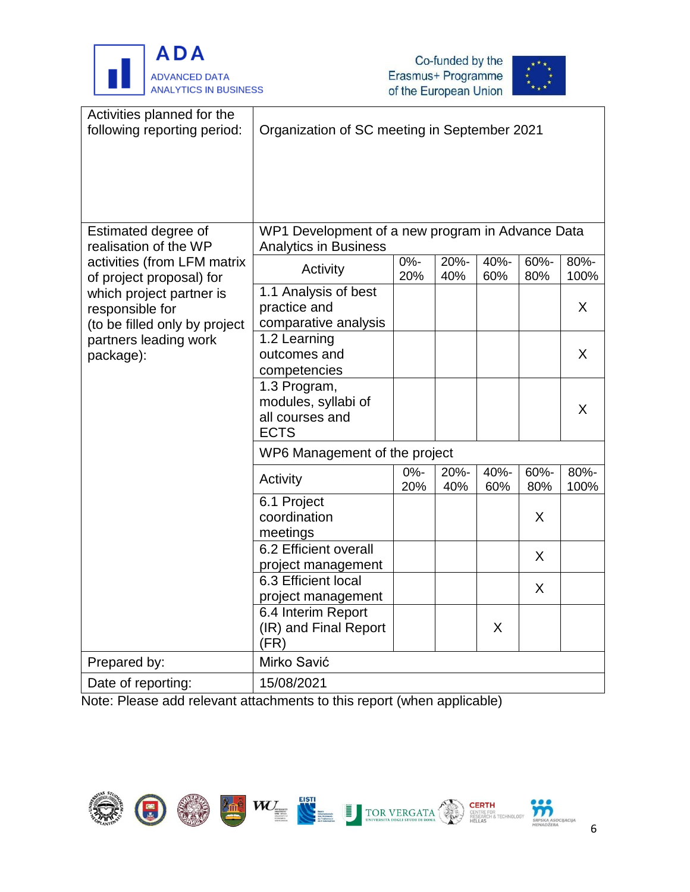





| Activities planned for the<br>following reporting period:           | Organization of SC meeting in September 2021                                     |               |             |             |             |              |
|---------------------------------------------------------------------|----------------------------------------------------------------------------------|---------------|-------------|-------------|-------------|--------------|
|                                                                     |                                                                                  |               |             |             |             |              |
|                                                                     |                                                                                  |               |             |             |             |              |
| Estimated degree of<br>realisation of the WP                        | WP1 Development of a new program in Advance Data<br><b>Analytics in Business</b> |               |             |             |             |              |
| activities (from LFM matrix<br>of project proposal) for             | Activity                                                                         | $0% -$<br>20% | 20%-<br>40% | 40%-<br>60% | 60%-<br>80% | 80%-<br>100% |
| which project partner is<br>responsible for                         | 1.1 Analysis of best<br>practice and<br>comparative analysis                     |               |             |             |             | X            |
| (to be filled only by project<br>partners leading work<br>package): | 1.2 Learning<br>outcomes and<br>competencies                                     |               |             |             |             | X            |
|                                                                     | 1.3 Program,<br>modules, syllabi of<br>all courses and<br><b>ECTS</b>            |               |             |             |             | X            |
|                                                                     | WP6 Management of the project                                                    |               |             |             |             |              |
|                                                                     | Activity                                                                         | 0%-<br>20%    | 20%-<br>40% | 40%-<br>60% | 60%-<br>80% | 80%-<br>100% |
|                                                                     | 6.1 Project<br>coordination<br>meetings                                          |               |             |             | X           |              |
|                                                                     | 6.2 Efficient overall<br>project management                                      |               |             |             | X           |              |
|                                                                     | 6.3 Efficient local<br>project management                                        |               |             |             | X           |              |
|                                                                     | 6.4 Interim Report<br>(IR) and Final Report<br>(FR)                              |               |             | X           |             |              |
| Prepared by:                                                        | Mirko Savić                                                                      |               |             |             |             |              |
| Date of reporting:                                                  | 15/08/2021                                                                       |               |             |             |             |              |

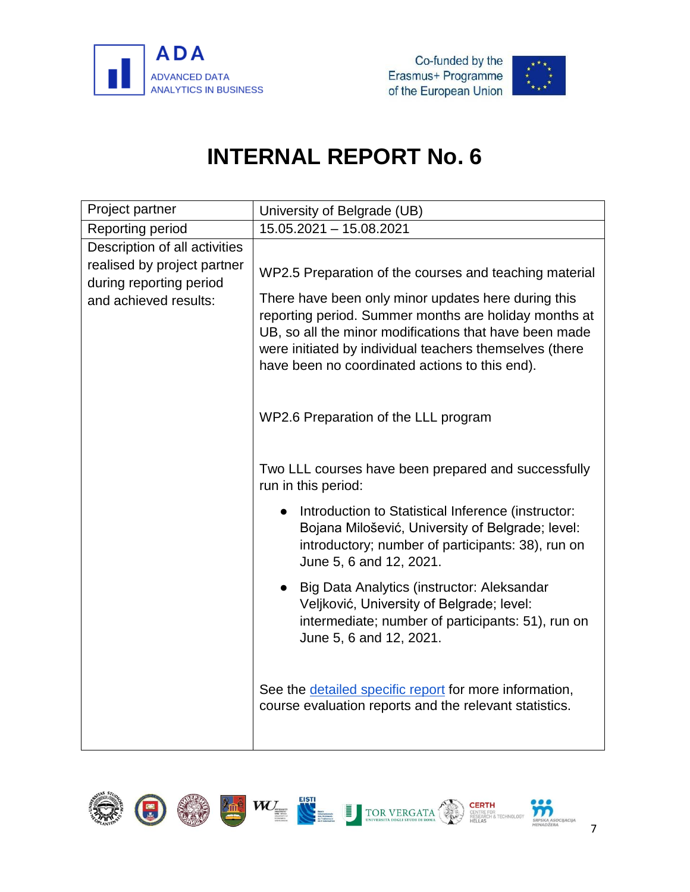



<span id="page-9-0"></span>

| Project partner                                                                                                  | University of Belgrade (UB)                                                                                                                                                                                                                                                                                                                   |
|------------------------------------------------------------------------------------------------------------------|-----------------------------------------------------------------------------------------------------------------------------------------------------------------------------------------------------------------------------------------------------------------------------------------------------------------------------------------------|
| Reporting period                                                                                                 | 15.05.2021 - 15.08.2021                                                                                                                                                                                                                                                                                                                       |
| Description of all activities<br>realised by project partner<br>during reporting period<br>and achieved results: | WP2.5 Preparation of the courses and teaching material<br>There have been only minor updates here during this<br>reporting period. Summer months are holiday months at<br>UB, so all the minor modifications that have been made<br>were initiated by individual teachers themselves (there<br>have been no coordinated actions to this end). |
|                                                                                                                  | WP2.6 Preparation of the LLL program                                                                                                                                                                                                                                                                                                          |
|                                                                                                                  | Two LLL courses have been prepared and successfully<br>run in this period:                                                                                                                                                                                                                                                                    |
|                                                                                                                  | Introduction to Statistical Inference (instructor:<br>Bojana Milošević, University of Belgrade; level:<br>introductory; number of participants: 38), run on<br>June 5, 6 and 12, 2021.                                                                                                                                                        |
|                                                                                                                  | Big Data Analytics (instructor: Aleksandar<br>Veljković, University of Belgrade; level:<br>intermediate; number of participants: 51), run on<br>June 5, 6 and 12, 2021.                                                                                                                                                                       |
|                                                                                                                  | See the detailed specific report for more information,<br>course evaluation reports and the relevant statistics.                                                                                                                                                                                                                              |

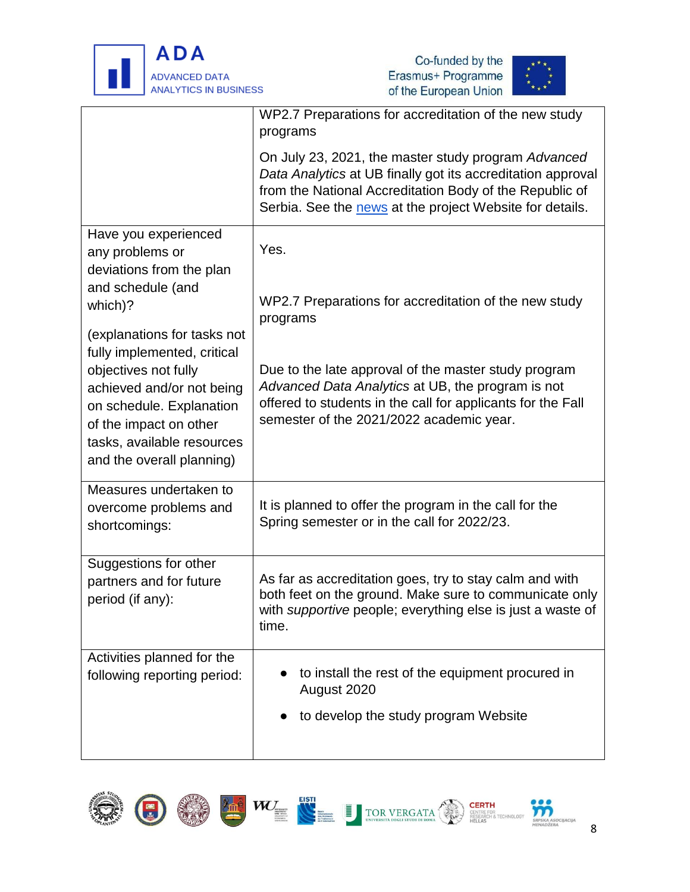





| WP2.7 Preparations for accreditation of the new study<br>programs                                                                                                                                                                         |
|-------------------------------------------------------------------------------------------------------------------------------------------------------------------------------------------------------------------------------------------|
| On July 23, 2021, the master study program Advanced<br>Data Analytics at UB finally got its accreditation approval<br>from the National Accreditation Body of the Republic of<br>Serbia. See the news at the project Website for details. |
| Yes.                                                                                                                                                                                                                                      |
| WP2.7 Preparations for accreditation of the new study<br>programs                                                                                                                                                                         |
| Due to the late approval of the master study program                                                                                                                                                                                      |
| Advanced Data Analytics at UB, the program is not<br>offered to students in the call for applicants for the Fall<br>semester of the 2021/2022 academic year.                                                                              |
| It is planned to offer the program in the call for the<br>Spring semester or in the call for 2022/23.                                                                                                                                     |
| As far as accreditation goes, try to stay calm and with<br>both feet on the ground. Make sure to communicate only<br>with <i>supportive</i> people; everything else is just a waste of<br>time.                                           |
| to install the rest of the equipment procured in<br>August 2020                                                                                                                                                                           |
| to develop the study program Website                                                                                                                                                                                                      |
|                                                                                                                                                                                                                                           |













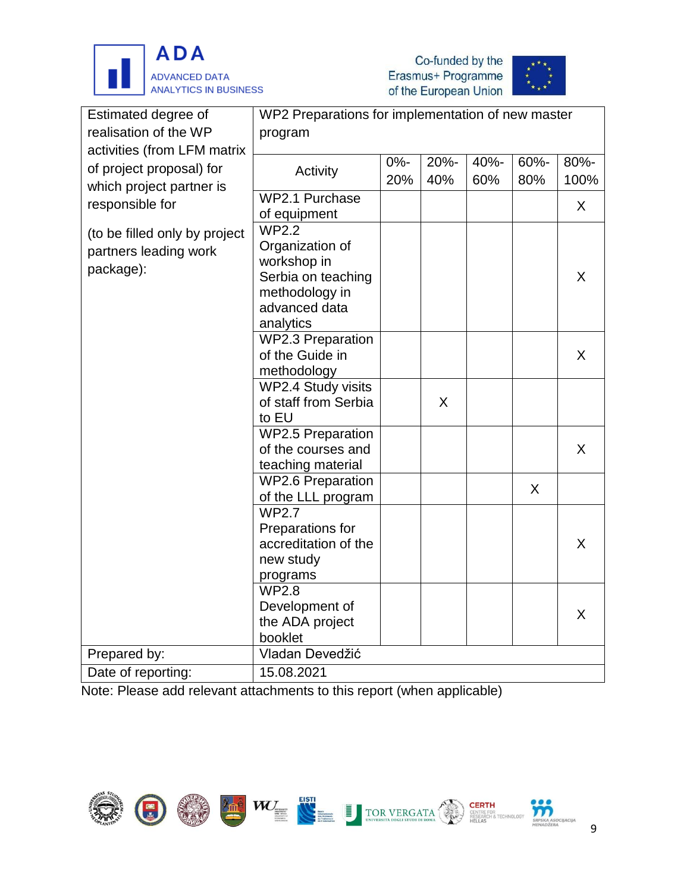





| Estimated degree of           | WP2 Preparations for implementation of new master |        |      |      |      |      |
|-------------------------------|---------------------------------------------------|--------|------|------|------|------|
| realisation of the WP         | program                                           |        |      |      |      |      |
| activities (from LFM matrix   |                                                   |        |      |      |      |      |
| of project proposal) for      | Activity                                          | $0% -$ | 20%- | 40%- | 60%- | 80%- |
| which project partner is      |                                                   | 20%    | 40%  | 60%  | 80%  | 100% |
| responsible for               | WP2.1 Purchase                                    |        |      |      |      |      |
|                               | of equipment                                      |        |      |      |      | X    |
| (to be filled only by project | <b>WP2.2</b>                                      |        |      |      |      |      |
| partners leading work         | Organization of                                   |        |      |      |      |      |
|                               | workshop in                                       |        |      |      |      |      |
| package):                     | Serbia on teaching                                |        |      |      |      | X    |
|                               | methodology in                                    |        |      |      |      |      |
|                               | advanced data                                     |        |      |      |      |      |
|                               | analytics                                         |        |      |      |      |      |
|                               | <b>WP2.3 Preparation</b>                          |        |      |      |      |      |
|                               | of the Guide in                                   |        |      |      |      | X    |
|                               | methodology                                       |        |      |      |      |      |
|                               | WP2.4 Study visits                                |        |      |      |      |      |
|                               | of staff from Serbia                              |        | X    |      |      |      |
|                               | to EU                                             |        |      |      |      |      |
|                               | <b>WP2.5 Preparation</b>                          |        |      |      |      |      |
|                               | of the courses and                                |        |      |      |      | X    |
|                               | teaching material                                 |        |      |      |      |      |
|                               | <b>WP2.6 Preparation</b>                          |        |      |      | X    |      |
|                               | of the LLL program                                |        |      |      |      |      |
|                               | <b>WP2.7</b>                                      |        |      |      |      |      |
|                               | Preparations for                                  |        |      |      |      |      |
|                               | accreditation of the                              |        |      |      |      | X    |
|                               | new study                                         |        |      |      |      |      |
|                               | programs                                          |        |      |      |      |      |
|                               | <b>WP2.8</b>                                      |        |      |      |      |      |
|                               | Development of                                    |        |      |      |      | X    |
|                               | the ADA project                                   |        |      |      |      |      |
|                               | booklet                                           |        |      |      |      |      |
| Prepared by:                  | Vladan Devedžić                                   |        |      |      |      |      |
| Date of reporting:            | 15.08.2021                                        |        |      |      |      |      |

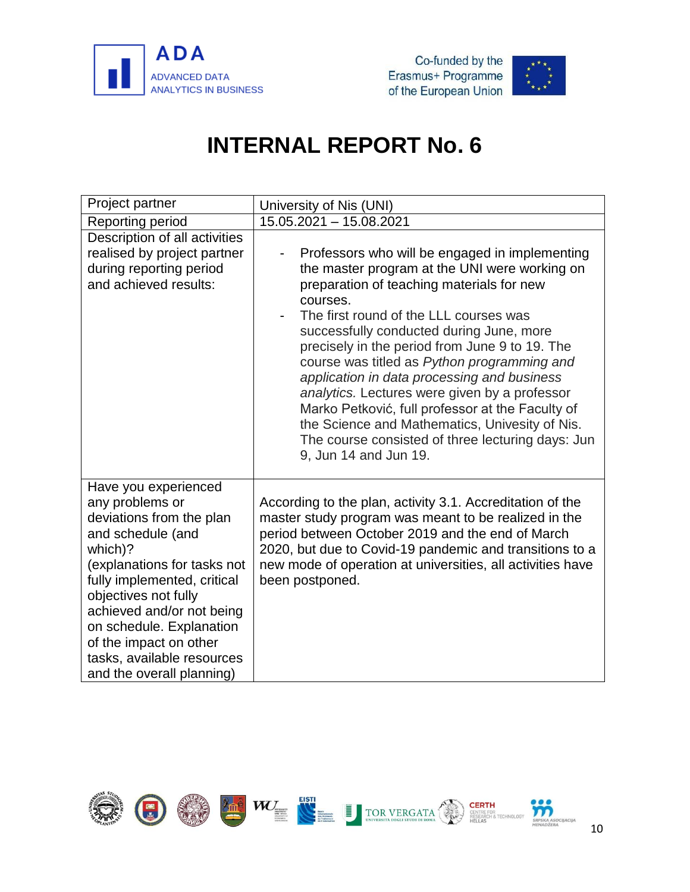



<span id="page-12-0"></span>

| Project partner                                                                                                                                                                                                                                                                                                                         | University of Nis (UNI)                                                                                                                                                                                                                                                                                                                                                                                                                                                                                                                                                                                                             |
|-----------------------------------------------------------------------------------------------------------------------------------------------------------------------------------------------------------------------------------------------------------------------------------------------------------------------------------------|-------------------------------------------------------------------------------------------------------------------------------------------------------------------------------------------------------------------------------------------------------------------------------------------------------------------------------------------------------------------------------------------------------------------------------------------------------------------------------------------------------------------------------------------------------------------------------------------------------------------------------------|
| Reporting period                                                                                                                                                                                                                                                                                                                        | 15.05.2021 - 15.08.2021                                                                                                                                                                                                                                                                                                                                                                                                                                                                                                                                                                                                             |
| Description of all activities<br>realised by project partner<br>during reporting period<br>and achieved results:                                                                                                                                                                                                                        | Professors who will be engaged in implementing<br>the master program at the UNI were working on<br>preparation of teaching materials for new<br>courses.<br>The first round of the LLL courses was<br>successfully conducted during June, more<br>precisely in the period from June 9 to 19. The<br>course was titled as Python programming and<br>application in data processing and business<br>analytics. Lectures were given by a professor<br>Marko Petković, full professor at the Faculty of<br>the Science and Mathematics, Univesity of Nis.<br>The course consisted of three lecturing days: Jun<br>9, Jun 14 and Jun 19. |
| Have you experienced<br>any problems or<br>deviations from the plan<br>and schedule (and<br>which)?<br>(explanations for tasks not<br>fully implemented, critical<br>objectives not fully<br>achieved and/or not being<br>on schedule. Explanation<br>of the impact on other<br>tasks, available resources<br>and the overall planning) | According to the plan, activity 3.1. Accreditation of the<br>master study program was meant to be realized in the<br>period between October 2019 and the end of March<br>2020, but due to Covid-19 pandemic and transitions to a<br>new mode of operation at universities, all activities have<br>been postponed.                                                                                                                                                                                                                                                                                                                   |

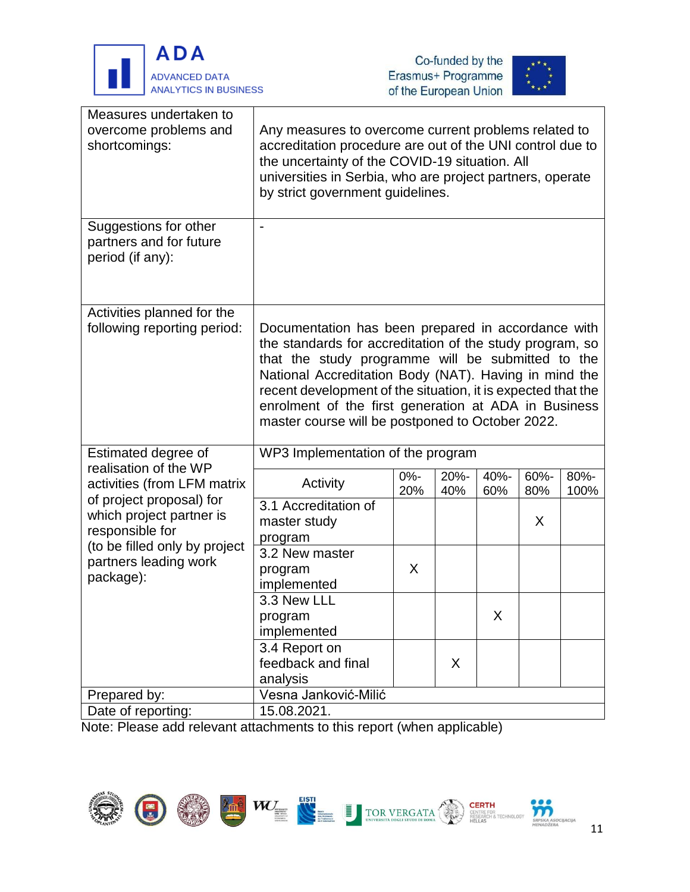





| Measures undertaken to<br>overcome problems and<br>shortcomings:        | Any measures to overcome current problems related to<br>accreditation procedure are out of the UNI control due to<br>the uncertainty of the COVID-19 situation. All<br>universities in Serbia, who are project partners, operate<br>by strict government guidelines.                                                                                                                                     |               |             |             |             |              |
|-------------------------------------------------------------------------|----------------------------------------------------------------------------------------------------------------------------------------------------------------------------------------------------------------------------------------------------------------------------------------------------------------------------------------------------------------------------------------------------------|---------------|-------------|-------------|-------------|--------------|
| Suggestions for other<br>partners and for future<br>period (if any):    |                                                                                                                                                                                                                                                                                                                                                                                                          |               |             |             |             |              |
| Activities planned for the<br>following reporting period:               | Documentation has been prepared in accordance with<br>the standards for accreditation of the study program, so<br>that the study programme will be submitted to the<br>National Accreditation Body (NAT). Having in mind the<br>recent development of the situation, it is expected that the<br>enrolment of the first generation at ADA in Business<br>master course will be postponed to October 2022. |               |             |             |             |              |
| Estimated degree of                                                     | WP3 Implementation of the program                                                                                                                                                                                                                                                                                                                                                                        |               |             |             |             |              |
| realisation of the WP<br>activities (from LFM matrix                    | Activity                                                                                                                                                                                                                                                                                                                                                                                                 | $0% -$<br>20% | 20%-<br>40% | 40%-<br>60% | 60%-<br>80% | 80%-<br>100% |
| of project proposal) for<br>which project partner is<br>responsible for | 3.1 Accreditation of<br>master study<br>program                                                                                                                                                                                                                                                                                                                                                          |               |             |             | X           |              |
| (to be filled only by project<br>partners leading work<br>package):     | 3.2 New master<br>program<br>implemented                                                                                                                                                                                                                                                                                                                                                                 | X             |             |             |             |              |
|                                                                         | 3.3 New LLI<br>program<br>implemented                                                                                                                                                                                                                                                                                                                                                                    |               |             | X           |             |              |
|                                                                         | 3.4 Report on<br>feedback and final<br>analysis                                                                                                                                                                                                                                                                                                                                                          |               | X           |             |             |              |
| Prepared by:                                                            | Vesna Janković-Milić                                                                                                                                                                                                                                                                                                                                                                                     |               |             |             |             |              |
| Date of reporting:                                                      | 15.08.2021.                                                                                                                                                                                                                                                                                                                                                                                              |               |             |             |             |              |
|                                                                         |                                                                                                                                                                                                                                                                                                                                                                                                          |               |             |             |             |              |

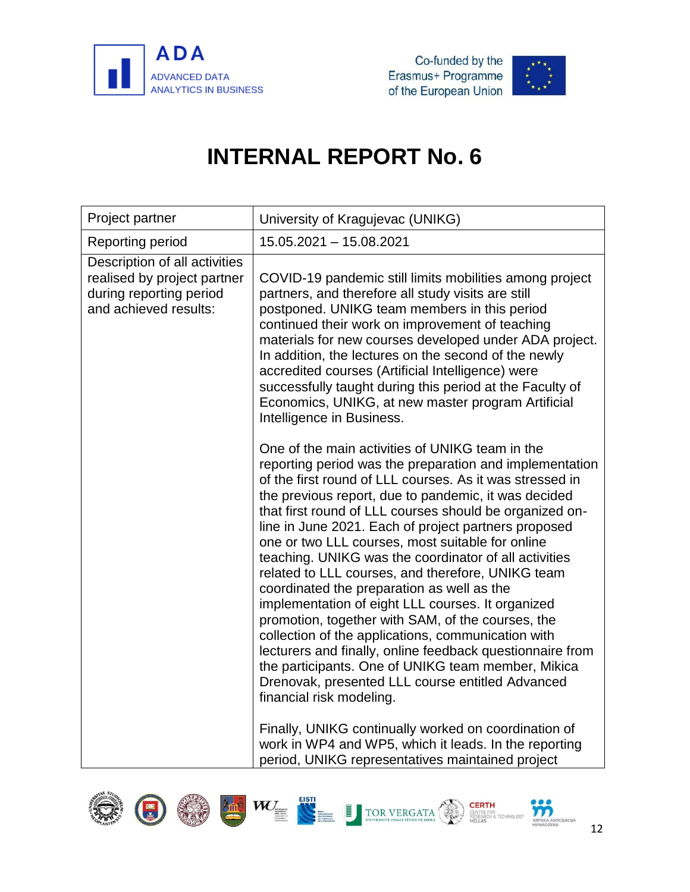



<span id="page-14-0"></span>

| Project partner                                                                                                  | University of Kragujevac (UNIKG)                                                                                                                                                                                                                                                                                                                                                                                                                                                                                                                                                                                                                                                                                                                                                                                                                                                                                                     |
|------------------------------------------------------------------------------------------------------------------|--------------------------------------------------------------------------------------------------------------------------------------------------------------------------------------------------------------------------------------------------------------------------------------------------------------------------------------------------------------------------------------------------------------------------------------------------------------------------------------------------------------------------------------------------------------------------------------------------------------------------------------------------------------------------------------------------------------------------------------------------------------------------------------------------------------------------------------------------------------------------------------------------------------------------------------|
| Reporting period                                                                                                 | 15.05.2021 - 15.08.2021                                                                                                                                                                                                                                                                                                                                                                                                                                                                                                                                                                                                                                                                                                                                                                                                                                                                                                              |
| Description of all activities<br>realised by project partner<br>during reporting period<br>and achieved results: | COVID-19 pandemic still limits mobilities among project<br>partners, and therefore all study visits are still<br>postponed. UNIKG team members in this period<br>continued their work on improvement of teaching<br>materials for new courses developed under ADA project.<br>In addition, the lectures on the second of the newly<br>accredited courses (Artificial Intelligence) were<br>successfully taught during this period at the Faculty of<br>Economics, UNIKG, at new master program Artificial<br>Intelligence in Business.                                                                                                                                                                                                                                                                                                                                                                                               |
|                                                                                                                  | One of the main activities of UNIKG team in the<br>reporting period was the preparation and implementation<br>of the first round of LLL courses. As it was stressed in<br>the previous report, due to pandemic, it was decided<br>that first round of LLL courses should be organized on-<br>line in June 2021. Each of project partners proposed<br>one or two LLL courses, most suitable for online<br>teaching. UNIKG was the coordinator of all activities<br>related to LLL courses, and therefore, UNIKG team<br>coordinated the preparation as well as the<br>implementation of eight LLL courses. It organized<br>promotion, together with SAM, of the courses, the<br>collection of the applications, communication with<br>lecturers and finally, online feedback questionnaire from<br>the participants. One of UNIKG team member, Mikica<br>Drenovak, presented LLL course entitled Advanced<br>financial risk modeling. |
|                                                                                                                  | Finally, UNIKG continually worked on coordination of<br>work in WP4 and WP5, which it leads. In the reporting<br>period, UNIKG representatives maintained project                                                                                                                                                                                                                                                                                                                                                                                                                                                                                                                                                                                                                                                                                                                                                                    |

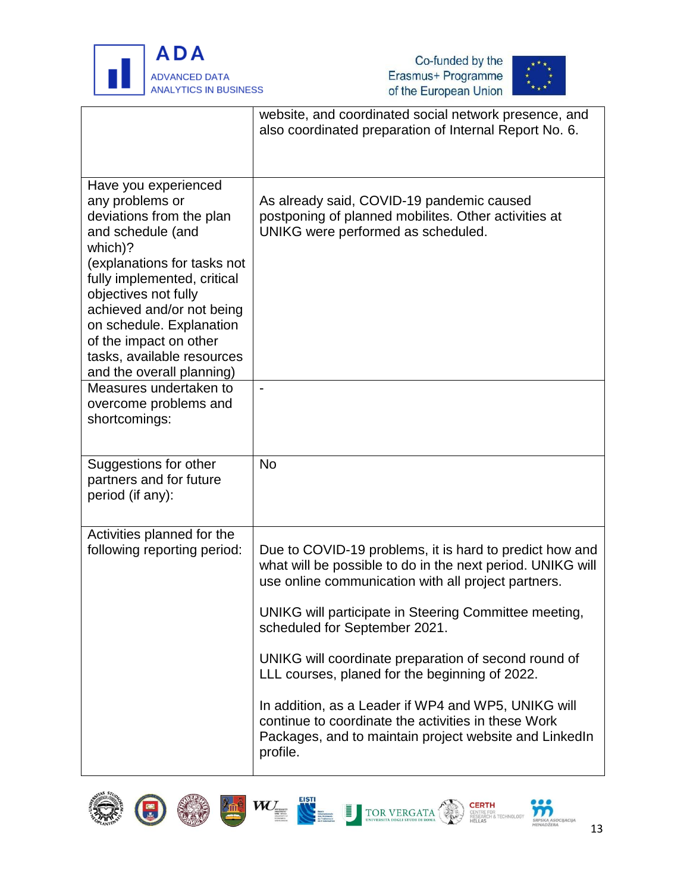





|                                                                                                                                                                                                                                                                                                                                                                   | website, and coordinated social network presence, and<br>also coordinated preparation of Internal Report No. 6.                                                                  |
|-------------------------------------------------------------------------------------------------------------------------------------------------------------------------------------------------------------------------------------------------------------------------------------------------------------------------------------------------------------------|----------------------------------------------------------------------------------------------------------------------------------------------------------------------------------|
| Have you experienced<br>any problems or<br>deviations from the plan<br>and schedule (and<br>which)?<br>(explanations for tasks not<br>fully implemented, critical<br>objectives not fully<br>achieved and/or not being<br>on schedule. Explanation<br>of the impact on other<br>tasks, available resources<br>and the overall planning)<br>Measures undertaken to | As already said, COVID-19 pandemic caused<br>postponing of planned mobilites. Other activities at<br>UNIKG were performed as scheduled.<br>$\overline{\phantom{a}}$              |
| overcome problems and<br>shortcomings:                                                                                                                                                                                                                                                                                                                            |                                                                                                                                                                                  |
| Suggestions for other<br>partners and for future<br>period (if any):                                                                                                                                                                                                                                                                                              | <b>No</b>                                                                                                                                                                        |
| Activities planned for the<br>following reporting period:                                                                                                                                                                                                                                                                                                         | Due to COVID-19 problems, it is hard to predict how and<br>what will be possible to do in the next period. UNIKG will<br>use online communication with all project partners.     |
|                                                                                                                                                                                                                                                                                                                                                                   | UNIKG will participate in Steering Committee meeting,<br>scheduled for September 2021.                                                                                           |
|                                                                                                                                                                                                                                                                                                                                                                   | UNIKG will coordinate preparation of second round of<br>LLL courses, planed for the beginning of 2022.                                                                           |
|                                                                                                                                                                                                                                                                                                                                                                   | In addition, as a Leader if WP4 and WP5, UNIKG will<br>continue to coordinate the activities in these Work<br>Packages, and to maintain project website and LinkedIn<br>profile. |











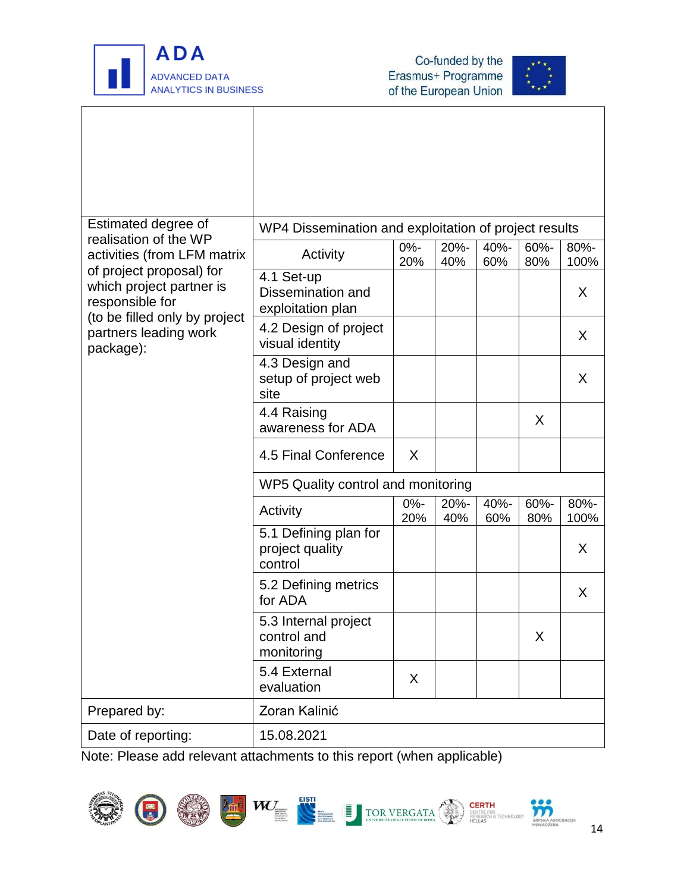



| Estimated degree of<br>realisation of the WP<br>activities (from LFM matrix | WP4 Dissemination and exploitation of project results |               |             |             |             |              |
|-----------------------------------------------------------------------------|-------------------------------------------------------|---------------|-------------|-------------|-------------|--------------|
|                                                                             | Activity                                              | $0% -$<br>20% | 20%-<br>40% | 40%-<br>60% | 60%-<br>80% | 80%-<br>100% |
| of project proposal) for<br>which project partner is<br>responsible for     | 4.1 Set-up<br>Dissemination and<br>exploitation plan  |               |             |             |             | X            |
| (to be filled only by project<br>partners leading work<br>package):         | 4.2 Design of project<br>visual identity              |               |             |             |             | X            |
|                                                                             | 4.3 Design and<br>setup of project web<br>site        |               |             |             |             | X            |
|                                                                             | 4.4 Raising<br>awareness for ADA                      |               |             |             | X           |              |
|                                                                             | 4.5 Final Conference                                  | $\mathsf{X}$  |             |             |             |              |
|                                                                             | WP5 Quality control and monitoring                    |               |             |             |             |              |
|                                                                             | Activity                                              | $0% -$<br>20% | 20%-<br>40% | 40%-<br>60% | 60%-<br>80% | 80%-<br>100% |
|                                                                             | 5.1 Defining plan for<br>project quality<br>control   |               |             |             |             | X            |
|                                                                             | 5.2 Defining metrics<br>for ADA                       |               |             |             |             | X            |
|                                                                             | 5.3 Internal project<br>control and<br>monitoring     |               |             |             | X           |              |
|                                                                             | 5.4 External<br>evaluation                            | X             |             |             |             |              |
| Prepared by:                                                                | Zoran Kalinić                                         |               |             |             |             |              |
| Date of reporting:                                                          | 15.08.2021                                            |               |             |             |             |              |











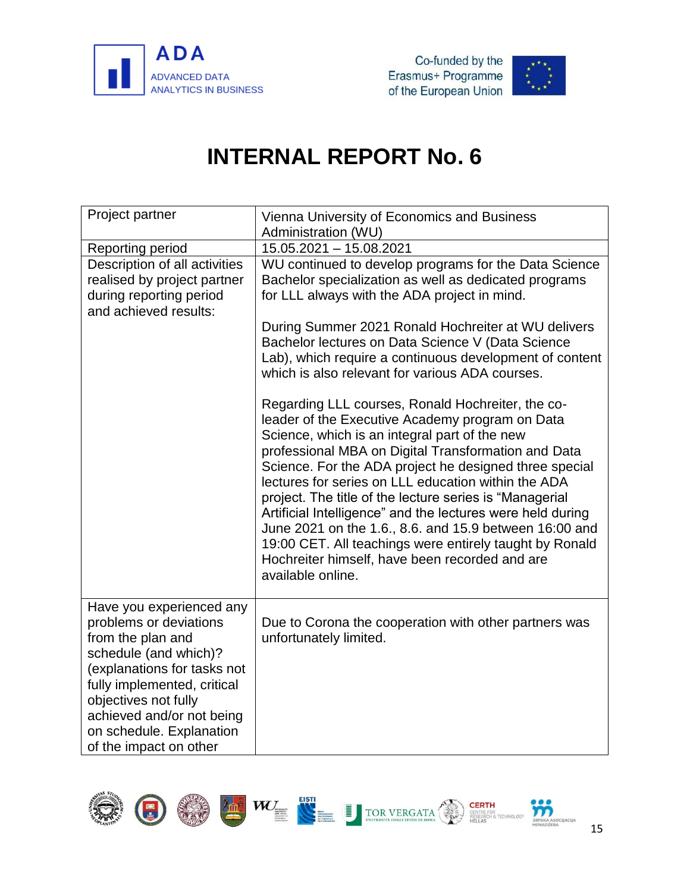



<span id="page-17-0"></span>

| Project partner                                                                                                                                                                                                                                                           | Vienna University of Economics and Business<br>Administration (WU)                                                                                                                                                                                                                                                                                                                                                                                                                                                                                                                                                                                 |
|---------------------------------------------------------------------------------------------------------------------------------------------------------------------------------------------------------------------------------------------------------------------------|----------------------------------------------------------------------------------------------------------------------------------------------------------------------------------------------------------------------------------------------------------------------------------------------------------------------------------------------------------------------------------------------------------------------------------------------------------------------------------------------------------------------------------------------------------------------------------------------------------------------------------------------------|
| Reporting period                                                                                                                                                                                                                                                          | 15.05.2021 - 15.08.2021                                                                                                                                                                                                                                                                                                                                                                                                                                                                                                                                                                                                                            |
| Description of all activities<br>realised by project partner<br>during reporting period<br>and achieved results:                                                                                                                                                          | WU continued to develop programs for the Data Science<br>Bachelor specialization as well as dedicated programs<br>for LLL always with the ADA project in mind.                                                                                                                                                                                                                                                                                                                                                                                                                                                                                     |
|                                                                                                                                                                                                                                                                           | During Summer 2021 Ronald Hochreiter at WU delivers<br>Bachelor lectures on Data Science V (Data Science<br>Lab), which require a continuous development of content<br>which is also relevant for various ADA courses.                                                                                                                                                                                                                                                                                                                                                                                                                             |
|                                                                                                                                                                                                                                                                           | Regarding LLL courses, Ronald Hochreiter, the co-<br>leader of the Executive Academy program on Data<br>Science, which is an integral part of the new<br>professional MBA on Digital Transformation and Data<br>Science. For the ADA project he designed three special<br>lectures for series on LLL education within the ADA<br>project. The title of the lecture series is "Managerial<br>Artificial Intelligence" and the lectures were held during<br>June 2021 on the 1.6., 8.6. and 15.9 between 16:00 and<br>19:00 CET. All teachings were entirely taught by Ronald<br>Hochreiter himself, have been recorded and are<br>available online. |
| Have you experienced any<br>problems or deviations<br>from the plan and<br>schedule (and which)?<br>(explanations for tasks not<br>fully implemented, critical<br>objectives not fully<br>achieved and/or not being<br>on schedule. Explanation<br>of the impact on other | Due to Corona the cooperation with other partners was<br>unfortunately limited.                                                                                                                                                                                                                                                                                                                                                                                                                                                                                                                                                                    |

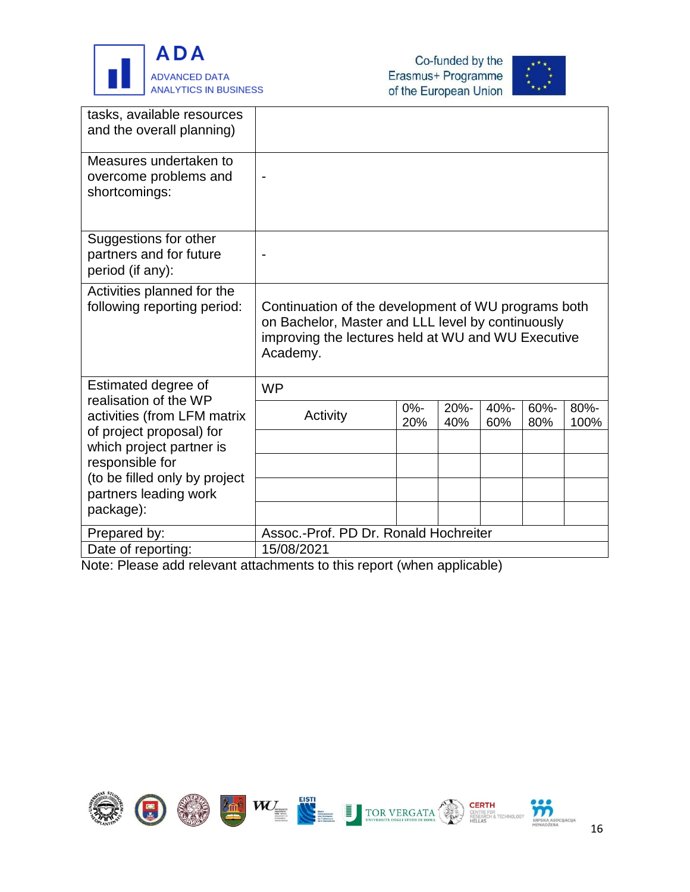





| tasks, available resources<br>and the overall planning)              |                                                                                                                                                                            |               |             |             |                |              |
|----------------------------------------------------------------------|----------------------------------------------------------------------------------------------------------------------------------------------------------------------------|---------------|-------------|-------------|----------------|--------------|
| Measures undertaken to<br>overcome problems and<br>shortcomings:     |                                                                                                                                                                            |               |             |             |                |              |
| Suggestions for other<br>partners and for future<br>period (if any): |                                                                                                                                                                            |               |             |             |                |              |
| Activities planned for the<br>following reporting period:            | Continuation of the development of WU programs both<br>on Bachelor, Master and LLL level by continuously<br>improving the lectures held at WU and WU Executive<br>Academy. |               |             |             |                |              |
| Estimated degree of<br>realisation of the WP                         | <b>WP</b>                                                                                                                                                                  |               |             |             |                |              |
| activities (from LFM matrix<br>of project proposal) for              | Activity                                                                                                                                                                   | $0% -$<br>20% | 20%-<br>40% | 40%-<br>60% | $60% -$<br>80% | 80%-<br>100% |
| which project partner is                                             |                                                                                                                                                                            |               |             |             |                |              |
| responsible for<br>(to be filled only by project                     |                                                                                                                                                                            |               |             |             |                |              |
| partners leading work                                                |                                                                                                                                                                            |               |             |             |                |              |
| package):                                                            |                                                                                                                                                                            |               |             |             |                |              |
| Prepared by:                                                         | Assoc.-Prof. PD Dr. Ronald Hochreiter                                                                                                                                      |               |             |             |                |              |
| Date of reporting:                                                   | 15/08/2021                                                                                                                                                                 |               |             |             |                |              |

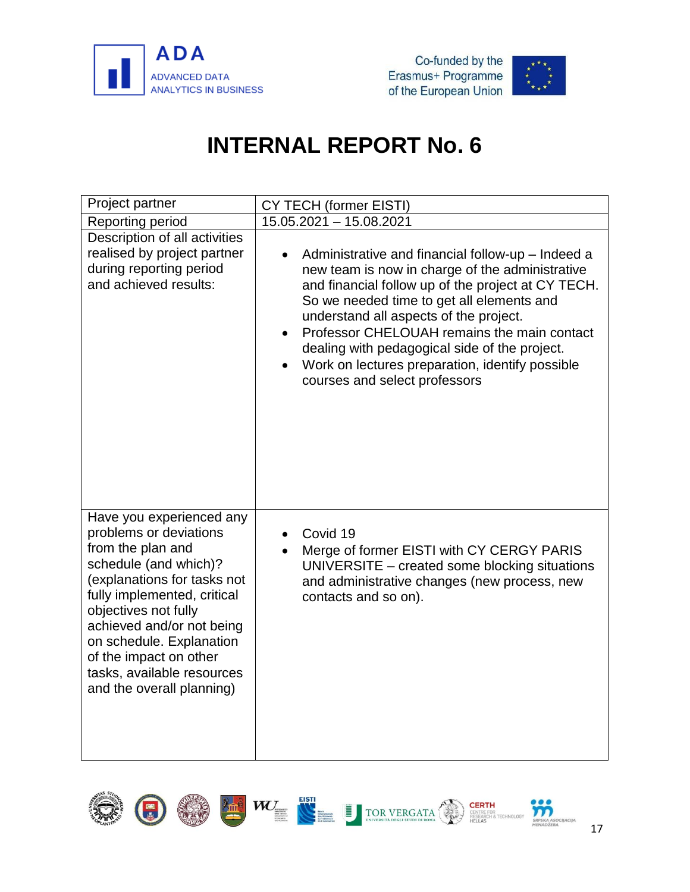





<span id="page-19-0"></span>

| Project partner                                                                                                                                                                                                                                                                                                                      | CY TECH (former EISTI)                                                                                                                                                                                                                                                                                                                                                                                                                |
|--------------------------------------------------------------------------------------------------------------------------------------------------------------------------------------------------------------------------------------------------------------------------------------------------------------------------------------|---------------------------------------------------------------------------------------------------------------------------------------------------------------------------------------------------------------------------------------------------------------------------------------------------------------------------------------------------------------------------------------------------------------------------------------|
| Reporting period                                                                                                                                                                                                                                                                                                                     | 15.05.2021 - 15.08.2021                                                                                                                                                                                                                                                                                                                                                                                                               |
| Description of all activities<br>realised by project partner<br>during reporting period<br>and achieved results:                                                                                                                                                                                                                     | Administrative and financial follow-up - Indeed a<br>new team is now in charge of the administrative<br>and financial follow up of the project at CY TECH.<br>So we needed time to get all elements and<br>understand all aspects of the project.<br>Professor CHELOUAH remains the main contact<br>dealing with pedagogical side of the project.<br>Work on lectures preparation, identify possible<br>courses and select professors |
| Have you experienced any<br>problems or deviations<br>from the plan and<br>schedule (and which)?<br>(explanations for tasks not<br>fully implemented, critical<br>objectives not fully<br>achieved and/or not being<br>on schedule. Explanation<br>of the impact on other<br>tasks, available resources<br>and the overall planning) | Covid 19<br>Merge of former EISTI with CY CERGY PARIS<br>UNIVERSITE - created some blocking situations<br>and administrative changes (new process, new<br>contacts and so on).                                                                                                                                                                                                                                                        |

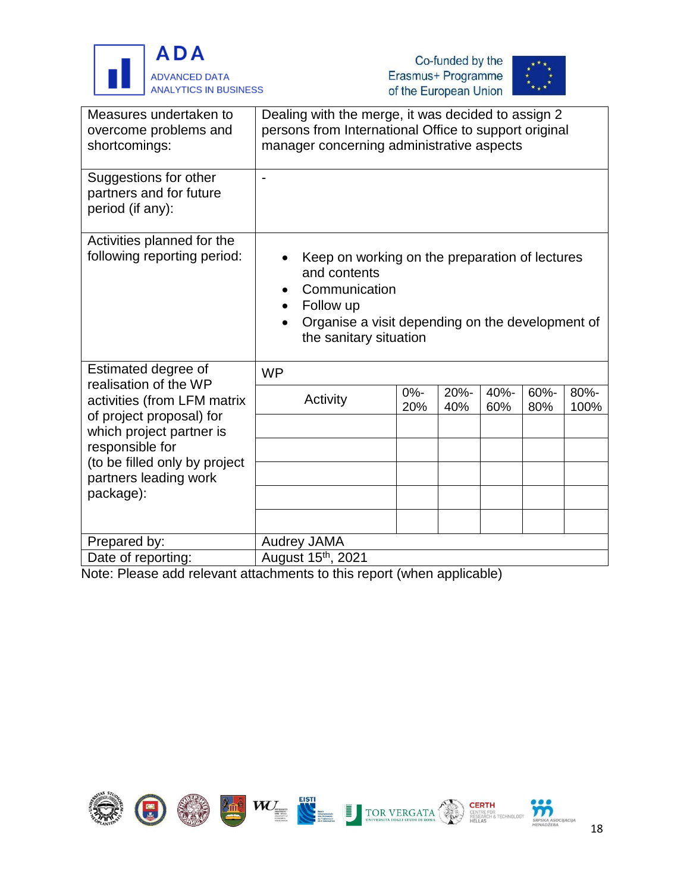





| Measures undertaken to<br>overcome problems and<br>shortcomings:                                             | Dealing with the merge, it was decided to assign 2<br>persons from International Office to support original<br>manager concerning administrative aspects                                |  |               |             |             |             |              |
|--------------------------------------------------------------------------------------------------------------|-----------------------------------------------------------------------------------------------------------------------------------------------------------------------------------------|--|---------------|-------------|-------------|-------------|--------------|
| Suggestions for other<br>partners and for future<br>period (if any):                                         |                                                                                                                                                                                         |  |               |             |             |             |              |
| Activities planned for the<br>following reporting period:                                                    | Keep on working on the preparation of lectures<br>and contents<br>Communication<br>Follow up<br>$\bullet$<br>Organise a visit depending on the development of<br>the sanitary situation |  |               |             |             |             |              |
| Estimated degree of                                                                                          | <b>WP</b>                                                                                                                                                                               |  |               |             |             |             |              |
| realisation of the WP<br>activities (from LFM matrix<br>of project proposal) for<br>which project partner is | Activity                                                                                                                                                                                |  | $0% -$<br>20% | 20%-<br>40% | 40%-<br>60% | 60%-<br>80% | 80%-<br>100% |
| responsible for                                                                                              |                                                                                                                                                                                         |  |               |             |             |             |              |
| (to be filled only by project<br>partners leading work                                                       |                                                                                                                                                                                         |  |               |             |             |             |              |
| package):                                                                                                    |                                                                                                                                                                                         |  |               |             |             |             |              |
|                                                                                                              |                                                                                                                                                                                         |  |               |             |             |             |              |
| Prepared by:                                                                                                 | <b>Audrey JAMA</b>                                                                                                                                                                      |  |               |             |             |             |              |
| Date of reporting:                                                                                           | August 15th, 2021                                                                                                                                                                       |  |               |             |             |             |              |

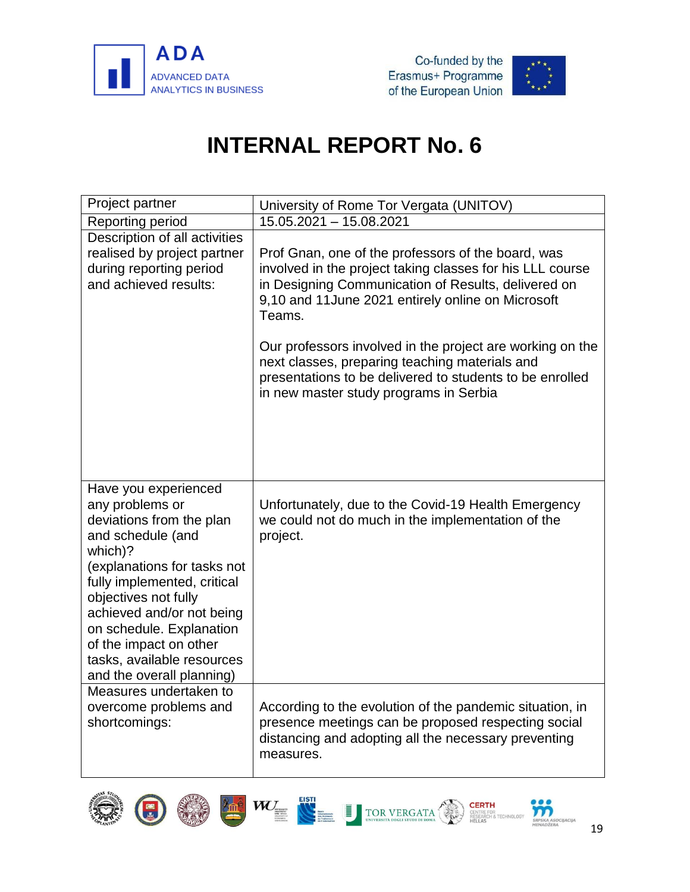



<span id="page-21-0"></span>

| Project partner                                                                                                                                                                                                                                                                                                                         | University of Rome Tor Vergata (UNITOV)                                                                                                                                                                                               |
|-----------------------------------------------------------------------------------------------------------------------------------------------------------------------------------------------------------------------------------------------------------------------------------------------------------------------------------------|---------------------------------------------------------------------------------------------------------------------------------------------------------------------------------------------------------------------------------------|
| Reporting period                                                                                                                                                                                                                                                                                                                        | 15.05.2021 - 15.08.2021                                                                                                                                                                                                               |
| Description of all activities<br>realised by project partner<br>during reporting period<br>and achieved results:                                                                                                                                                                                                                        | Prof Gnan, one of the professors of the board, was<br>involved in the project taking classes for his LLL course<br>in Designing Communication of Results, delivered on<br>9,10 and 11June 2021 entirely online on Microsoft<br>Teams. |
|                                                                                                                                                                                                                                                                                                                                         | Our professors involved in the project are working on the<br>next classes, preparing teaching materials and<br>presentations to be delivered to students to be enrolled<br>in new master study programs in Serbia                     |
| Have you experienced<br>any problems or<br>deviations from the plan<br>and schedule (and<br>which)?<br>(explanations for tasks not<br>fully implemented, critical<br>objectives not fully<br>achieved and/or not being<br>on schedule. Explanation<br>of the impact on other<br>tasks, available resources<br>and the overall planning) | Unfortunately, due to the Covid-19 Health Emergency<br>we could not do much in the implementation of the<br>project.                                                                                                                  |
| Measures undertaken to<br>overcome problems and<br>shortcomings:                                                                                                                                                                                                                                                                        | According to the evolution of the pandemic situation, in<br>presence meetings can be proposed respecting social<br>distancing and adopting all the necessary preventing<br>measures.                                                  |



G







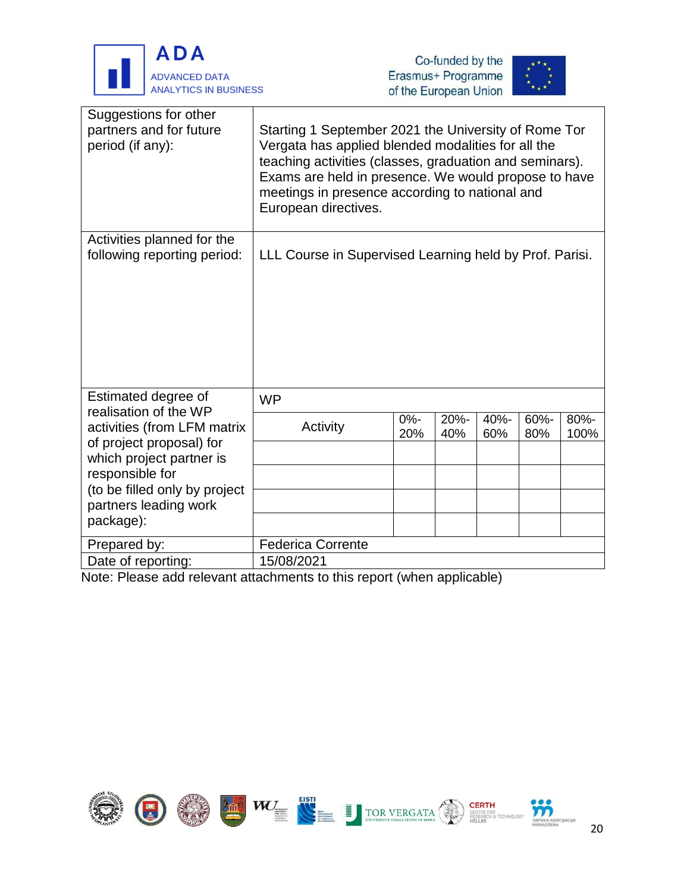

j





| Suggestions for other<br>partners and for future<br>period (if any): | Starting 1 September 2021 the University of Rome Tor<br>Vergata has applied blended modalities for all the<br>teaching activities (classes, graduation and seminars).<br>Exams are held in presence. We would propose to have<br>meetings in presence according to national and<br>European directives. |               |             |             |             |              |
|----------------------------------------------------------------------|---------------------------------------------------------------------------------------------------------------------------------------------------------------------------------------------------------------------------------------------------------------------------------------------------------|---------------|-------------|-------------|-------------|--------------|
| Activities planned for the<br>following reporting period:            | LLL Course in Supervised Learning held by Prof. Parisi.                                                                                                                                                                                                                                                 |               |             |             |             |              |
| Estimated degree of<br>realisation of the WP                         | <b>WP</b>                                                                                                                                                                                                                                                                                               |               |             |             |             |              |
| activities (from LFM matrix<br>of project proposal) for              | Activity                                                                                                                                                                                                                                                                                                | $0% -$<br>20% | 20%-<br>40% | 40%-<br>60% | 60%-<br>80% | 80%-<br>100% |
| which project partner is                                             |                                                                                                                                                                                                                                                                                                         |               |             |             |             |              |
| responsible for                                                      |                                                                                                                                                                                                                                                                                                         |               |             |             |             |              |
| (to be filled only by project<br>partners leading work               |                                                                                                                                                                                                                                                                                                         |               |             |             |             |              |
| package):                                                            |                                                                                                                                                                                                                                                                                                         |               |             |             |             |              |
| Prepared by:                                                         | <b>Federica Corrente</b>                                                                                                                                                                                                                                                                                |               |             |             |             |              |
| Date of reporting:                                                   | 15/08/2021                                                                                                                                                                                                                                                                                              |               |             |             |             |              |

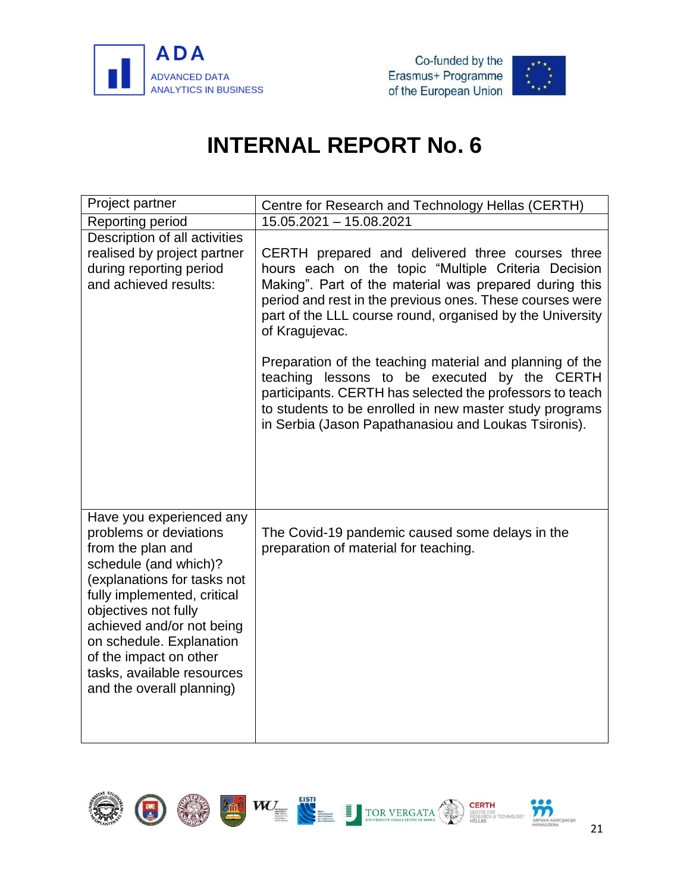



<span id="page-23-0"></span>

| Project partner                                                                                                                                                                                                                                                                                                                      | Centre for Research and Technology Hellas (CERTH)                                                                                                                                                                                                                                                                                                                                                                                                                                                                                                                                                       |
|--------------------------------------------------------------------------------------------------------------------------------------------------------------------------------------------------------------------------------------------------------------------------------------------------------------------------------------|---------------------------------------------------------------------------------------------------------------------------------------------------------------------------------------------------------------------------------------------------------------------------------------------------------------------------------------------------------------------------------------------------------------------------------------------------------------------------------------------------------------------------------------------------------------------------------------------------------|
| Reporting period                                                                                                                                                                                                                                                                                                                     | $15.05.2021 - 15.08.2021$                                                                                                                                                                                                                                                                                                                                                                                                                                                                                                                                                                               |
| Description of all activities<br>realised by project partner<br>during reporting period<br>and achieved results:                                                                                                                                                                                                                     | CERTH prepared and delivered three courses three<br>hours each on the topic "Multiple Criteria Decision<br>Making". Part of the material was prepared during this<br>period and rest in the previous ones. These courses were<br>part of the LLL course round, organised by the University<br>of Kragujevac.<br>Preparation of the teaching material and planning of the<br>teaching lessons to be executed by the CERTH<br>participants. CERTH has selected the professors to teach<br>to students to be enrolled in new master study programs<br>in Serbia (Jason Papathanasiou and Loukas Tsironis). |
| Have you experienced any<br>problems or deviations<br>from the plan and<br>schedule (and which)?<br>(explanations for tasks not<br>fully implemented, critical<br>objectives not fully<br>achieved and/or not being<br>on schedule. Explanation<br>of the impact on other<br>tasks, available resources<br>and the overall planning) | The Covid-19 pandemic caused some delays in the<br>preparation of material for teaching.                                                                                                                                                                                                                                                                                                                                                                                                                                                                                                                |

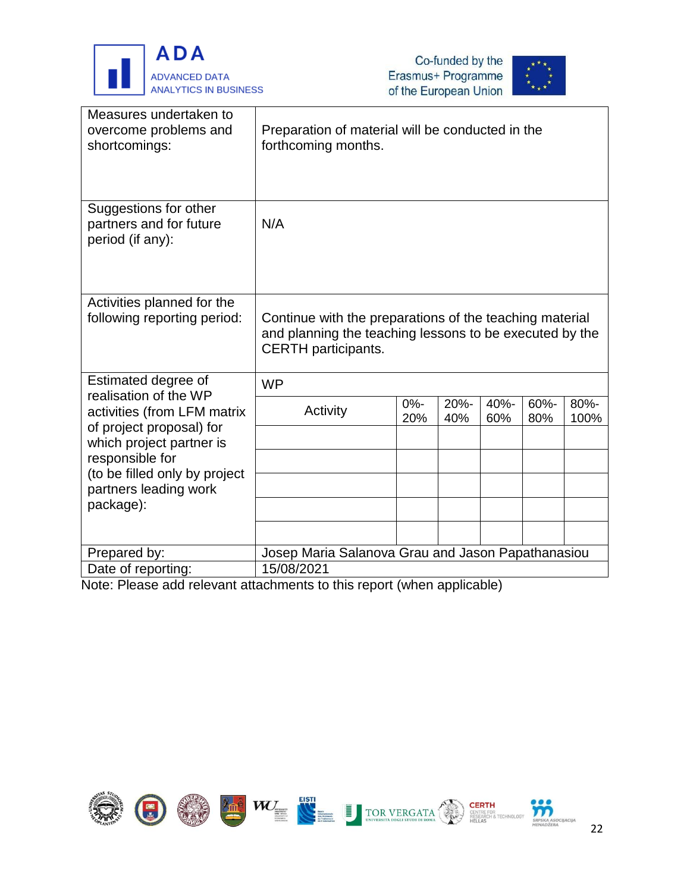





| Measures undertaken to<br>overcome problems and<br>shortcomings:                                             | Preparation of material will be conducted in the<br>forthcoming months.                                                                          |               |             |             |             |              |
|--------------------------------------------------------------------------------------------------------------|--------------------------------------------------------------------------------------------------------------------------------------------------|---------------|-------------|-------------|-------------|--------------|
| Suggestions for other<br>partners and for future<br>period (if any):                                         | N/A                                                                                                                                              |               |             |             |             |              |
| Activities planned for the<br>following reporting period:                                                    | Continue with the preparations of the teaching material<br>and planning the teaching lessons to be executed by the<br><b>CERTH</b> participants. |               |             |             |             |              |
| Estimated degree of                                                                                          | <b>WP</b>                                                                                                                                        |               |             |             |             |              |
| realisation of the WP<br>activities (from LFM matrix<br>of project proposal) for<br>which project partner is | Activity                                                                                                                                         | $0% -$<br>20% | 20%-<br>40% | 40%-<br>60% | 60%-<br>80% | 80%-<br>100% |
| responsible for                                                                                              |                                                                                                                                                  |               |             |             |             |              |
| (to be filled only by project<br>partners leading work                                                       |                                                                                                                                                  |               |             |             |             |              |
| package):                                                                                                    |                                                                                                                                                  |               |             |             |             |              |
|                                                                                                              |                                                                                                                                                  |               |             |             |             |              |
| Prepared by:                                                                                                 | Josep Maria Salanova Grau and Jason Papathanasiou                                                                                                |               |             |             |             |              |
| Date of reporting:                                                                                           | 15/08/2021                                                                                                                                       |               |             |             |             |              |

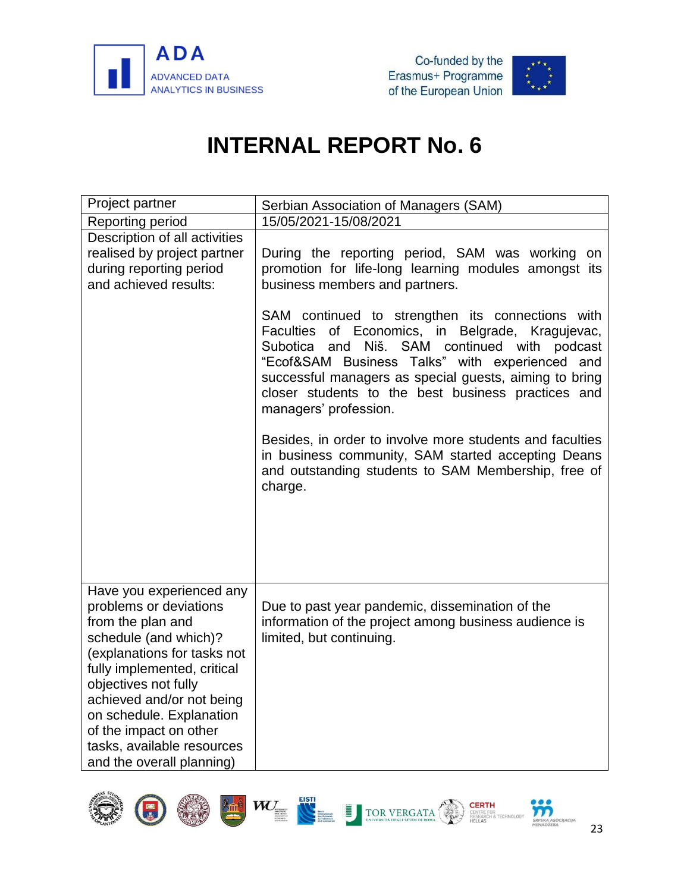



<span id="page-25-0"></span>

| Project partner                                                                                                                                                                                                                                                                                                                      | Serbian Association of Managers (SAM)                                                                                                                                                                                                                                                                                                                          |  |  |  |  |  |
|--------------------------------------------------------------------------------------------------------------------------------------------------------------------------------------------------------------------------------------------------------------------------------------------------------------------------------------|----------------------------------------------------------------------------------------------------------------------------------------------------------------------------------------------------------------------------------------------------------------------------------------------------------------------------------------------------------------|--|--|--|--|--|
| Reporting period                                                                                                                                                                                                                                                                                                                     | 15/05/2021-15/08/2021                                                                                                                                                                                                                                                                                                                                          |  |  |  |  |  |
| Description of all activities<br>realised by project partner<br>during reporting period<br>and achieved results:                                                                                                                                                                                                                     | During the reporting period, SAM was working on<br>promotion for life-long learning modules amongst its<br>business members and partners.                                                                                                                                                                                                                      |  |  |  |  |  |
|                                                                                                                                                                                                                                                                                                                                      | SAM continued to strengthen its connections with<br>Faculties of Economics, in Belgrade, Kragujevac,<br>Subotica<br>Niš. SAM<br>continued with<br>podcast<br>and<br>"Ecof&SAM Business Talks" with experienced<br>and<br>successful managers as special guests, aiming to bring<br>closer students to the best business practices and<br>managers' profession. |  |  |  |  |  |
|                                                                                                                                                                                                                                                                                                                                      | Besides, in order to involve more students and faculties<br>in business community, SAM started accepting Deans<br>and outstanding students to SAM Membership, free of<br>charge.                                                                                                                                                                               |  |  |  |  |  |
| Have you experienced any<br>problems or deviations<br>from the plan and<br>schedule (and which)?<br>(explanations for tasks not<br>fully implemented, critical<br>objectives not fully<br>achieved and/or not being<br>on schedule. Explanation<br>of the impact on other<br>tasks, available resources<br>and the overall planning) | Due to past year pandemic, dissemination of the<br>information of the project among business audience is<br>limited, but continuing.                                                                                                                                                                                                                           |  |  |  |  |  |